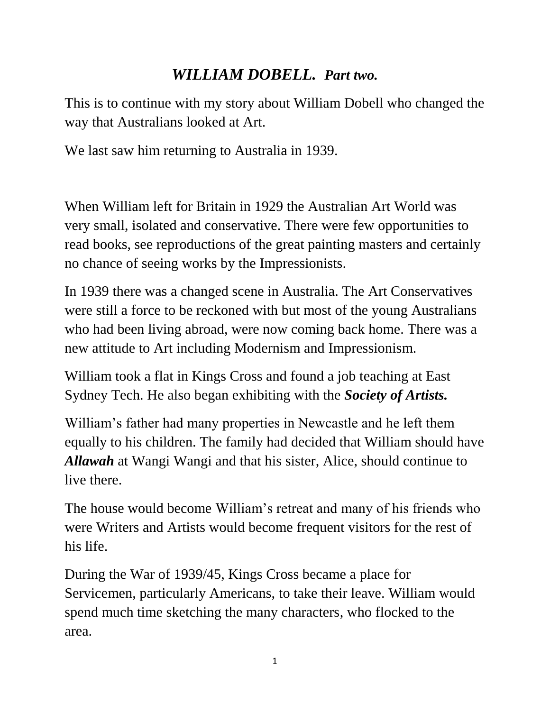# *WILLIAM DOBELL. Part two.*

This is to continue with my story about William Dobell who changed the way that Australians looked at Art.

We last saw him returning to Australia in 1939.

When William left for Britain in 1929 the Australian Art World was very small, isolated and conservative. There were few opportunities to read books, see reproductions of the great painting masters and certainly no chance of seeing works by the Impressionists.

In 1939 there was a changed scene in Australia. The Art Conservatives were still a force to be reckoned with but most of the young Australians who had been living abroad, were now coming back home. There was a new attitude to Art including Modernism and Impressionism.

William took a flat in Kings Cross and found a job teaching at East Sydney Tech. He also began exhibiting with the *Society of Artists.*

William's father had many properties in Newcastle and he left them equally to his children. The family had decided that William should have *Allawah* at Wangi Wangi and that his sister, Alice, should continue to live there.

The house would become William's retreat and many of his friends who were Writers and Artists would become frequent visitors for the rest of his life.

During the War of 1939/45, Kings Cross became a place for Servicemen, particularly Americans, to take their leave. William would spend much time sketching the many characters, who flocked to the area.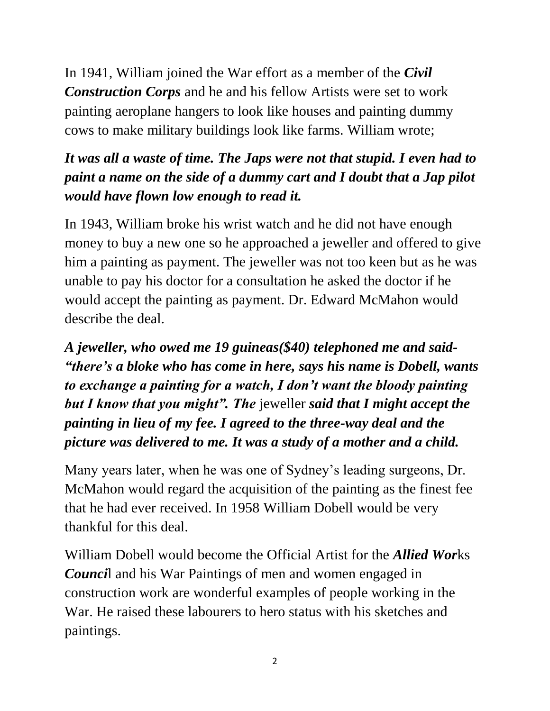In 1941, William joined the War effort as a member of the *Civil Construction Corps* and he and his fellow Artists were set to work painting aeroplane hangers to look like houses and painting dummy cows to make military buildings look like farms. William wrote;

## *It was all a waste of time. The Japs were not that stupid. I even had to paint a name on the side of a dummy cart and I doubt that a Jap pilot would have flown low enough to read it.*

In 1943, William broke his wrist watch and he did not have enough money to buy a new one so he approached a jeweller and offered to give him a painting as payment. The jeweller was not too keen but as he was unable to pay his doctor for a consultation he asked the doctor if he would accept the painting as payment. Dr. Edward McMahon would describe the deal.

*A jeweller, who owed me 19 guineas(\$40) telephoned me and said- "there's a bloke who has come in here, says his name is Dobell, wants to exchange a painting for a watch, I don't want the bloody painting but I know that you might". The* jeweller *said that I might accept the painting in lieu of my fee. I agreed to the three-way deal and the picture was delivered to me. It was a study of a mother and a child.* 

Many years later, when he was one of Sydney's leading surgeons, Dr. McMahon would regard the acquisition of the painting as the finest fee that he had ever received. In 1958 William Dobell would be very thankful for this deal.

William Dobell would become the Official Artist for the *Allied Wor*ks *Counci*l and his War Paintings of men and women engaged in construction work are wonderful examples of people working in the War. He raised these labourers to hero status with his sketches and paintings.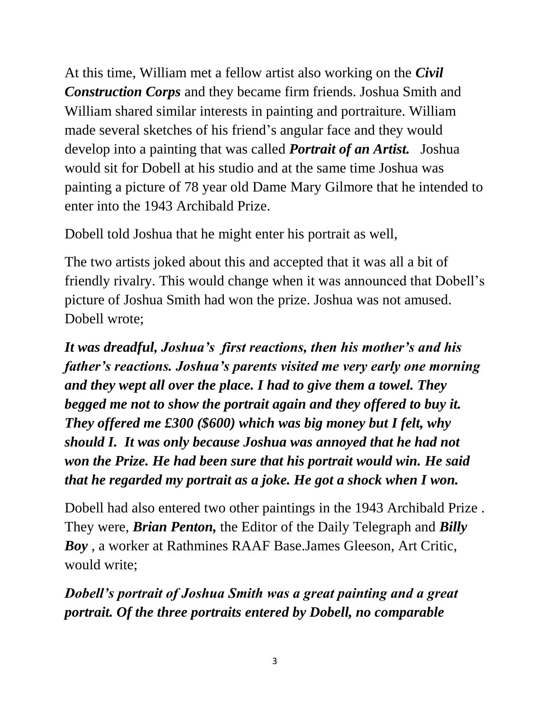At this time, William met a fellow artist also working on the *Civil Construction Corps* and they became firm friends. Joshua Smith and William shared similar interests in painting and portraiture. William made several sketches of his friend's angular face and they would develop into a painting that was called *Portrait of an Artist.* Joshua would sit for Dobell at his studio and at the same time Joshua was painting a picture of 78 year old Dame Mary Gilmore that he intended to enter into the 1943 Archibald Prize.

Dobell told Joshua that he might enter his portrait as well,

The two artists joked about this and accepted that it was all a bit of friendly rivalry. This would change when it was announced that Dobell's picture of Joshua Smith had won the prize. Joshua was not amused. Dobell wrote;

*It was dreadful, Joshua's first reactions, then his mother's and his father's reactions. Joshua's parents visited me very early one morning and they wept all over the place. I had to give them a towel. They begged me not to show the portrait again and they offered to buy it. They offered me £300 (\$600) which was big money but I felt, why should I. It was only because Joshua was annoyed that he had not won the Prize. He had been sure that his portrait would win. He said that he regarded my portrait as a joke. He got a shock when I won.*

Dobell had also entered two other paintings in the 1943 Archibald Prize . They were, *Brian Penton,* the Editor of the Daily Telegraph and *Billy Boy* , a worker at Rathmines RAAF Base.James Gleeson, Art Critic, would write;

*Dobell's portrait of Joshua Smith was a great painting and a great portrait. Of the three portraits entered by Dobell, no comparable*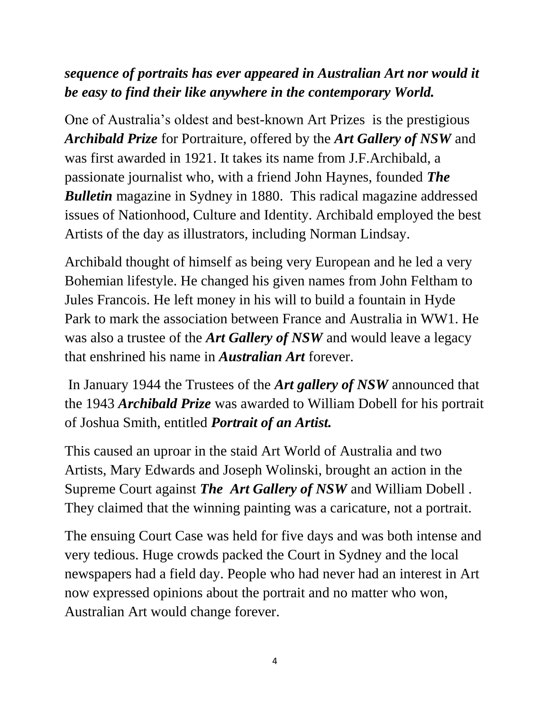### *sequence of portraits has ever appeared in Australian Art nor would it be easy to find their like anywhere in the contemporary World.*

One of Australia's oldest and best-known Art Prizes is the prestigious *Archibald Prize* for Portraiture, offered by the *Art Gallery of NSW* and was first awarded in 1921. It takes its name from J.F.Archibald, a passionate journalist who, with a friend John Haynes, founded *The Bulletin* magazine in Sydney in 1880. This radical magazine addressed issues of Nationhood, Culture and Identity. Archibald employed the best Artists of the day as illustrators, including Norman Lindsay.

Archibald thought of himself as being very European and he led a very Bohemian lifestyle. He changed his given names from John Feltham to Jules Francois. He left money in his will to build a fountain in Hyde Park to mark the association between France and Australia in WW1. He was also a trustee of the *Art Gallery of NSW* and would leave a legacy that enshrined his name in *Australian Art* forever.

In January 1944 the Trustees of the *Art gallery of NSW* announced that the 1943 *Archibald Prize* was awarded to William Dobell for his portrait of Joshua Smith, entitled *Portrait of an Artist.*

This caused an uproar in the staid Art World of Australia and two Artists, Mary Edwards and Joseph Wolinski, brought an action in the Supreme Court against *The Art Gallery of NSW* and William Dobell . They claimed that the winning painting was a caricature, not a portrait.

The ensuing Court Case was held for five days and was both intense and very tedious. Huge crowds packed the Court in Sydney and the local newspapers had a field day. People who had never had an interest in Art now expressed opinions about the portrait and no matter who won, Australian Art would change forever.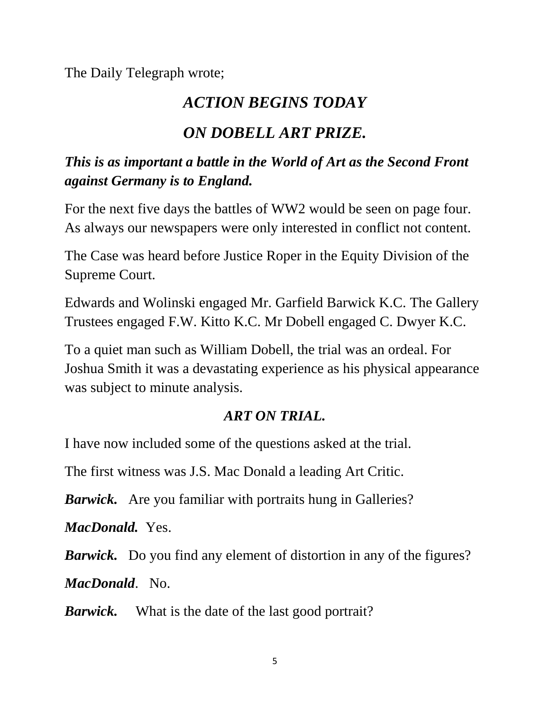The Daily Telegraph wrote;

# *ACTION BEGINS TODAY*

# *ON DOBELL ART PRIZE.*

#### *This is as important a battle in the World of Art as the Second Front against Germany is to England.*

For the next five days the battles of WW2 would be seen on page four. As always our newspapers were only interested in conflict not content.

The Case was heard before Justice Roper in the Equity Division of the Supreme Court.

Edwards and Wolinski engaged Mr. Garfield Barwick K.C. The Gallery Trustees engaged F.W. Kitto K.C. Mr Dobell engaged C. Dwyer K.C.

To a quiet man such as William Dobell, the trial was an ordeal. For Joshua Smith it was a devastating experience as his physical appearance was subject to minute analysis.

#### *ART ON TRIAL.*

I have now included some of the questions asked at the trial.

The first witness was J.S. Mac Donald a leading Art Critic.

*Barwick.* Are you familiar with portraits hung in Galleries?

*MacDonald.* Yes.

*Barwick.* Do you find any element of distortion in any of the figures?

*MacDonald*. No.

*Barwick.* What is the date of the last good portrait?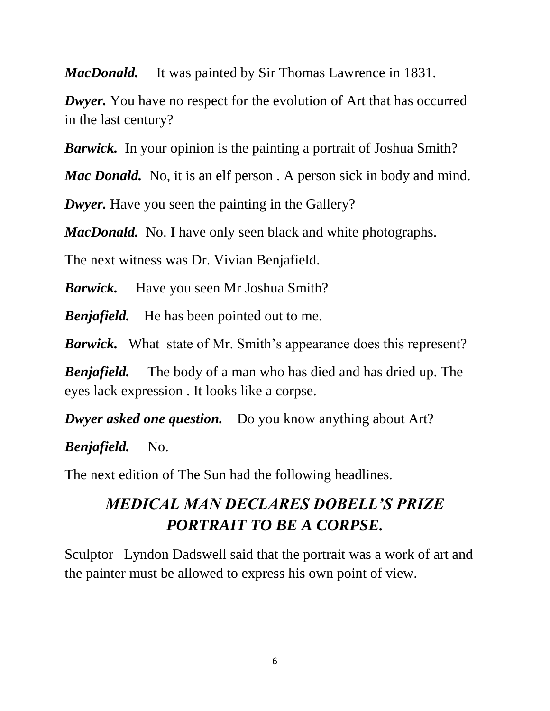*MacDonald.* It was painted by Sir Thomas Lawrence in 1831.

*Dwyer.* You have no respect for the evolution of Art that has occurred in the last century?

*Barwick*. In your opinion is the painting a portrait of Joshua Smith?

*Mac Donald.* No, it is an elf person. A person sick in body and mind.

*Dwyer.* Have you seen the painting in the Gallery?

*MacDonald.* No. I have only seen black and white photographs.

The next witness was Dr. Vivian Benjafield.

*Barwick.* Have you seen Mr Joshua Smith?

*Benjafield.* He has been pointed out to me.

*Barwick.* What state of Mr. Smith's appearance does this represent?

*Benjafield.* The body of a man who has died and has dried up. The eyes lack expression . It looks like a corpse.

*Dwyer asked one question.* Do you know anything about Art?

*Benjafield.* No.

The next edition of The Sun had the following headlines.

# *MEDICAL MAN DECLARES DOBELL'S PRIZE PORTRAIT TO BE A CORPSE.*

Sculptor Lyndon Dadswell said that the portrait was a work of art and the painter must be allowed to express his own point of view.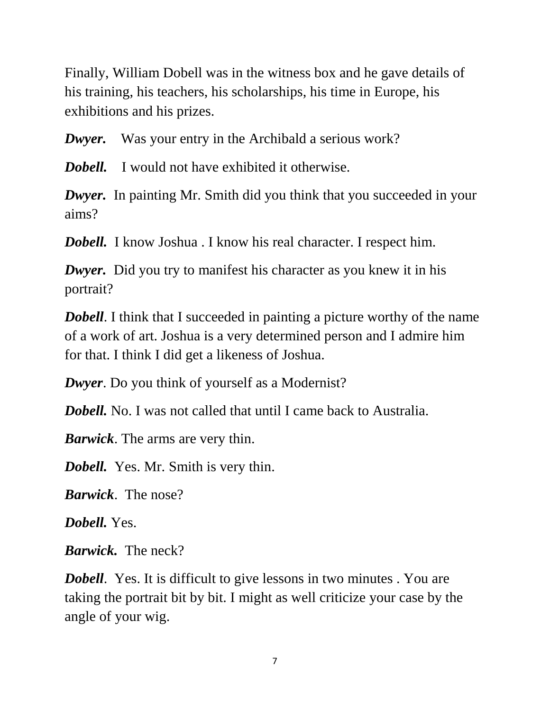Finally, William Dobell was in the witness box and he gave details of his training, his teachers, his scholarships, his time in Europe, his exhibitions and his prizes.

*Dwyer.* Was your entry in the Archibald a serious work?

*Dobell.* I would not have exhibited it otherwise.

*Dwyer.* In painting Mr. Smith did you think that you succeeded in your aims?

*Dobell.* I know Joshua . I know his real character. I respect him.

*Dwyer.* Did you try to manifest his character as you knew it in his portrait?

*Dobell*. I think that I succeeded in painting a picture worthy of the name of a work of art. Joshua is a very determined person and I admire him for that. I think I did get a likeness of Joshua.

*Dwyer*. Do you think of yourself as a Modernist?

*Dobell.* No. I was not called that until I came back to Australia.

*Barwick*. The arms are very thin.

*Dobell.* Yes. Mr. Smith is very thin.

*Barwick*. The nose?

*Dobell.* Yes.

*Barwick.* The neck?

*Dobell.* Yes. It is difficult to give lessons in two minutes. You are taking the portrait bit by bit. I might as well criticize your case by the angle of your wig.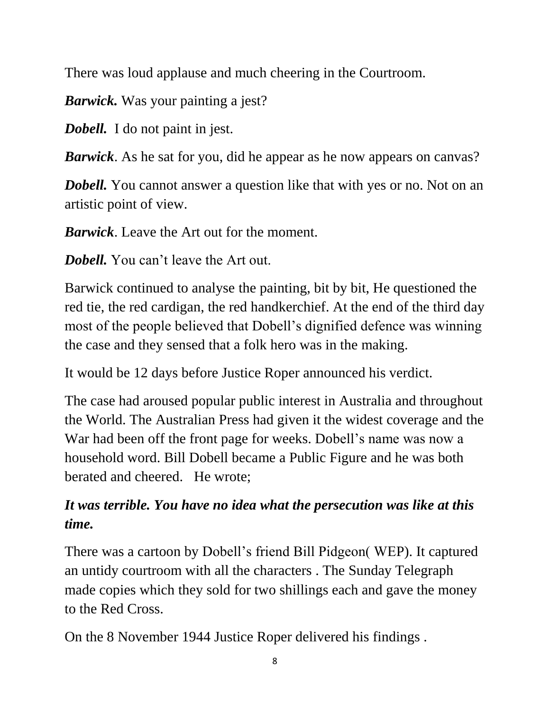There was loud applause and much cheering in the Courtroom.

*Barwick.* Was your painting a jest?

*Dobell.* I do not paint in jest.

*Barwick*. As he sat for you, did he appear as he now appears on canvas?

*Dobell.* You cannot answer a question like that with yes or no. Not on an artistic point of view.

*Barwick*. Leave the Art out for the moment.

*Dobell.* You can't leave the Art out.

Barwick continued to analyse the painting, bit by bit, He questioned the red tie, the red cardigan, the red handkerchief. At the end of the third day most of the people believed that Dobell's dignified defence was winning the case and they sensed that a folk hero was in the making.

It would be 12 days before Justice Roper announced his verdict.

The case had aroused popular public interest in Australia and throughout the World. The Australian Press had given it the widest coverage and the War had been off the front page for weeks. Dobell's name was now a household word. Bill Dobell became a Public Figure and he was both berated and cheered. He wrote;

## *It was terrible. You have no idea what the persecution was like at this time.*

There was a cartoon by Dobell's friend Bill Pidgeon( WEP). It captured an untidy courtroom with all the characters . The Sunday Telegraph made copies which they sold for two shillings each and gave the money to the Red Cross.

On the 8 November 1944 Justice Roper delivered his findings .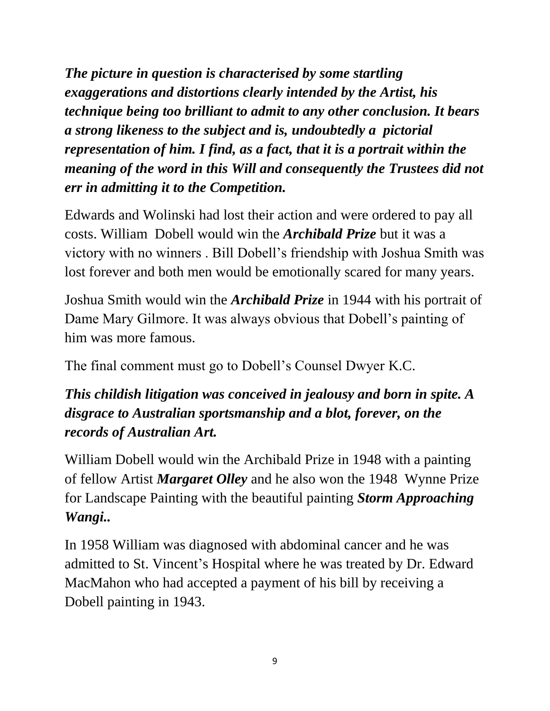*The picture in question is characterised by some startling exaggerations and distortions clearly intended by the Artist, his technique being too brilliant to admit to any other conclusion. It bears a strong likeness to the subject and is, undoubtedly a pictorial representation of him. I find, as a fact, that it is a portrait within the meaning of the word in this Will and consequently the Trustees did not err in admitting it to the Competition.* 

Edwards and Wolinski had lost their action and were ordered to pay all costs. William Dobell would win the *Archibald Prize* but it was a victory with no winners . Bill Dobell's friendship with Joshua Smith was lost forever and both men would be emotionally scared for many years.

Joshua Smith would win the *Archibald Prize* in 1944 with his portrait of Dame Mary Gilmore. It was always obvious that Dobell's painting of him was more famous.

The final comment must go to Dobell's Counsel Dwyer K.C.

## *This childish litigation was conceived in jealousy and born in spite. A disgrace to Australian sportsmanship and a blot, forever, on the records of Australian Art.*

William Dobell would win the Archibald Prize in 1948 with a painting of fellow Artist *Margaret Olley* and he also won the 1948 Wynne Prize for Landscape Painting with the beautiful painting *Storm Approaching Wangi..*

In 1958 William was diagnosed with abdominal cancer and he was admitted to St. Vincent's Hospital where he was treated by Dr. Edward MacMahon who had accepted a payment of his bill by receiving a Dobell painting in 1943.